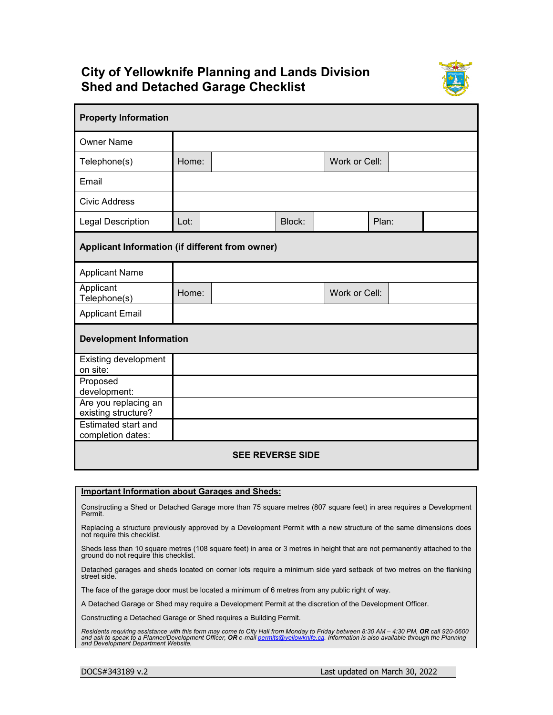## **City of Yellowknife Planning and Lands Division Shed and Detached Garage Checklist**



| <b>Property Information</b>                     |       |  |        |               |       |  |  |
|-------------------------------------------------|-------|--|--------|---------------|-------|--|--|
| <b>Owner Name</b>                               |       |  |        |               |       |  |  |
| Telephone(s)                                    | Home: |  |        | Work or Cell: |       |  |  |
| Email                                           |       |  |        |               |       |  |  |
| Civic Address                                   |       |  |        |               |       |  |  |
| <b>Legal Description</b>                        | Lot:  |  | Block: |               | Plan: |  |  |
| Applicant Information (if different from owner) |       |  |        |               |       |  |  |
| <b>Applicant Name</b>                           |       |  |        |               |       |  |  |
| Applicant<br>Telephone(s)                       | Home: |  |        | Work or Cell: |       |  |  |
| <b>Applicant Email</b>                          |       |  |        |               |       |  |  |
| <b>Development Information</b>                  |       |  |        |               |       |  |  |
| <b>Existing development</b><br>on site:         |       |  |        |               |       |  |  |
| Proposed<br>development:                        |       |  |        |               |       |  |  |
| Are you replacing an<br>existing structure?     |       |  |        |               |       |  |  |
| Estimated start and<br>completion dates:        |       |  |        |               |       |  |  |
| <b>SEE REVERSE SIDE</b>                         |       |  |        |               |       |  |  |

## **Important Information about Garages and Sheds:**

Constructing a Shed or Detached Garage more than 75 square metres (807 square feet) in area requires a Development Permit.

Replacing a structure previously approved by a Development Permit with a new structure of the same dimensions does not require this checklist.

Sheds less than 10 square metres (108 square feet) in area or 3 metres in height that are not permanently attached to the ground do not require this checklist.

Detached garages and sheds located on corner lots require a minimum side yard setback of two metres on the flanking street side.

The face of the garage door must be located a minimum of 6 metres from any public right of way.

A Detached Garage or Shed may require a Development Permit at the discretion of the Development Officer.

Constructing a Detached Garage or Shed requires a Building Permit.

Residents requiring assistance with this form may come to City Hall from Monday to Friday between 8:30 AM – 4:30 PM, **OR** call 920-5600<br>and ask to speak to a Planner/Development Officer, **OR** e-mail <u>permits@yellowknife.ca</u>